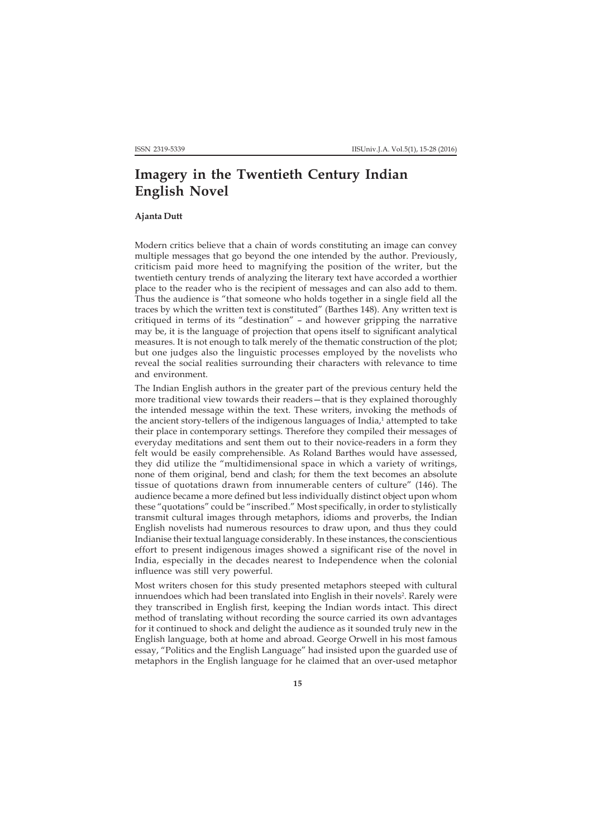## **Imagery in the Twentieth Century Indian English Novel**

## **Ajanta Dutt**

Modern critics believe that a chain of words constituting an image can convey multiple messages that go beyond the one intended by the author. Previously, criticism paid more heed to magnifying the position of the writer, but the twentieth century trends of analyzing the literary text have accorded a worthier place to the reader who is the recipient of messages and can also add to them. Thus the audience is "that someone who holds together in a single field all the traces by which the written text is constituted" (Barthes 148). Any written text is critiqued in terms of its "destination" – and however gripping the narrative may be, it is the language of projection that opens itself to significant analytical measures. It is not enough to talk merely of the thematic construction of the plot; but one judges also the linguistic processes employed by the novelists who reveal the social realities surrounding their characters with relevance to time and environment.

The Indian English authors in the greater part of the previous century held the more traditional view towards their readers—that is they explained thoroughly the intended message within the text. These writers, invoking the methods of the ancient story-tellers of the indigenous languages of India, $^1$  attempted to take their place in contemporary settings. Therefore they compiled their messages of everyday meditations and sent them out to their novice-readers in a form they felt would be easily comprehensible. As Roland Barthes would have assessed, they did utilize the "multidimensional space in which a variety of writings, none of them original, bend and clash; for them the text becomes an absolute tissue of quotations drawn from innumerable centers of culture" (146). The audience became a more defined but less individually distinct object upon whom these "quotations" could be "inscribed." Most specifically, in order to stylistically transmit cultural images through metaphors, idioms and proverbs, the Indian English novelists had numerous resources to draw upon, and thus they could Indianise their textual language considerably. In these instances, the conscientious effort to present indigenous images showed a significant rise of the novel in India, especially in the decades nearest to Independence when the colonial influence was still very powerful.

Most writers chosen for this study presented metaphors steeped with cultural innuendoes which had been translated into English in their novels<sup>2</sup>. Rarely were they transcribed in English first, keeping the Indian words intact. This direct method of translating without recording the source carried its own advantages for it continued to shock and delight the audience as it sounded truly new in the English language, both at home and abroad. George Orwell in his most famous essay, "Politics and the English Language" had insisted upon the guarded use of metaphors in the English language for he claimed that an over-used metaphor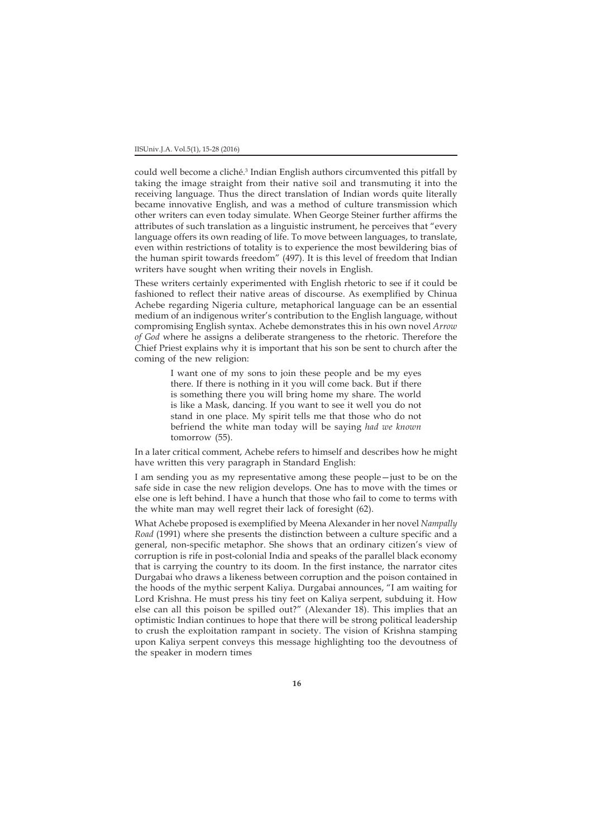could well become a cliché.3 Indian English authors circumvented this pitfall by taking the image straight from their native soil and transmuting it into the receiving language. Thus the direct translation of Indian words quite literally became innovative English, and was a method of culture transmission which other writers can even today simulate. When George Steiner further affirms the attributes of such translation as a linguistic instrument, he perceives that "every language offers its own reading of life. To move between languages, to translate, even within restrictions of totality is to experience the most bewildering bias of the human spirit towards freedom" (497). It is this level of freedom that Indian writers have sought when writing their novels in English.

These writers certainly experimented with English rhetoric to see if it could be fashioned to reflect their native areas of discourse. As exemplified by Chinua Achebe regarding Nigeria culture, metaphorical language can be an essential medium of an indigenous writer's contribution to the English language, without compromising English syntax. Achebe demonstrates this in his own novel *Arrow of God* where he assigns a deliberate strangeness to the rhetoric. Therefore the Chief Priest explains why it is important that his son be sent to church after the coming of the new religion:

> I want one of my sons to join these people and be my eyes there. If there is nothing in it you will come back. But if there is something there you will bring home my share. The world is like a Mask, dancing. If you want to see it well you do not stand in one place. My spirit tells me that those who do not befriend the white man today will be saying *had we known* tomorrow (55).

In a later critical comment, Achebe refers to himself and describes how he might have written this very paragraph in Standard English:

I am sending you as my representative among these people—just to be on the safe side in case the new religion develops. One has to move with the times or else one is left behind. I have a hunch that those who fail to come to terms with the white man may well regret their lack of foresight (62).

What Achebe proposed is exemplified by Meena Alexander in her novel *Nampally Road* (1991) where she presents the distinction between a culture specific and a general, non-specific metaphor. She shows that an ordinary citizen's view of corruption is rife in post-colonial India and speaks of the parallel black economy that is carrying the country to its doom. In the first instance, the narrator cites Durgabai who draws a likeness between corruption and the poison contained in the hoods of the mythic serpent Kaliya. Durgabai announces, "I am waiting for Lord Krishna. He must press his tiny feet on Kaliya serpent, subduing it. How else can all this poison be spilled out?" (Alexander 18). This implies that an optimistic Indian continues to hope that there will be strong political leadership to crush the exploitation rampant in society. The vision of Krishna stamping upon Kaliya serpent conveys this message highlighting too the devoutness of the speaker in modern times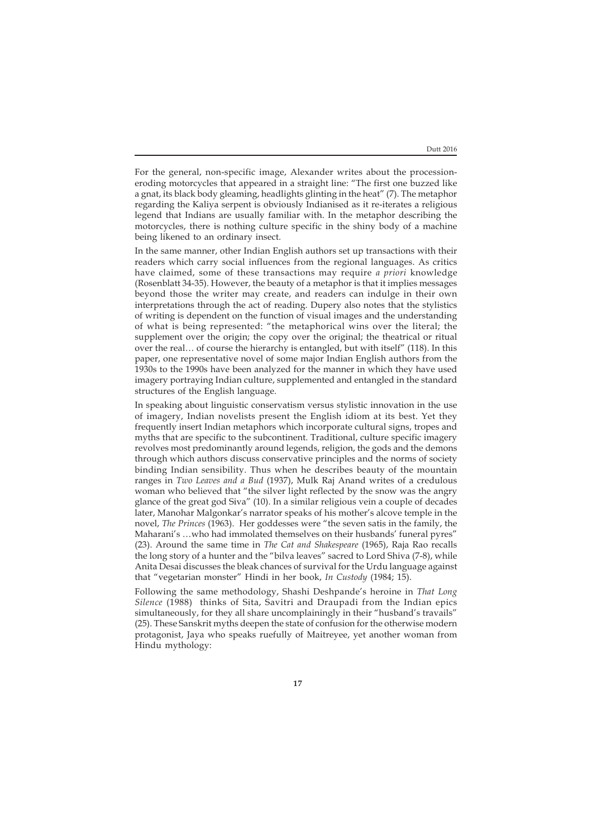For the general, non-specific image, Alexander writes about the processioneroding motorcycles that appeared in a straight line: "The first one buzzed like a gnat, its black body gleaming, headlights glinting in the heat" (7). The metaphor regarding the Kaliya serpent is obviously Indianised as it re-iterates a religious legend that Indians are usually familiar with. In the metaphor describing the motorcycles, there is nothing culture specific in the shiny body of a machine being likened to an ordinary insect.

In the same manner, other Indian English authors set up transactions with their readers which carry social influences from the regional languages. As critics have claimed, some of these transactions may require *a priori* knowledge (Rosenblatt 34-35). However, the beauty of a metaphor is that it implies messages beyond those the writer may create, and readers can indulge in their own interpretations through the act of reading. Dupery also notes that the stylistics of writing is dependent on the function of visual images and the understanding of what is being represented: "the metaphorical wins over the literal; the supplement over the origin; the copy over the original; the theatrical or ritual over the real… of course the hierarchy is entangled, but with itself" (118). In this paper, one representative novel of some major Indian English authors from the 1930s to the 1990s have been analyzed for the manner in which they have used imagery portraying Indian culture, supplemented and entangled in the standard structures of the English language.

In speaking about linguistic conservatism versus stylistic innovation in the use of imagery, Indian novelists present the English idiom at its best. Yet they frequently insert Indian metaphors which incorporate cultural signs, tropes and myths that are specific to the subcontinent. Traditional, culture specific imagery revolves most predominantly around legends, religion, the gods and the demons through which authors discuss conservative principles and the norms of society binding Indian sensibility. Thus when he describes beauty of the mountain ranges in *Two Leaves and a Bud* (1937), Mulk Raj Anand writes of a credulous woman who believed that "the silver light reflected by the snow was the angry glance of the great god Siva" (10). In a similar religious vein a couple of decades later, Manohar Malgonkar's narrator speaks of his mother's alcove temple in the novel, *The Princes* (1963). Her goddesses were "the seven satis in the family, the Maharani's …who had immolated themselves on their husbands' funeral pyres" (23). Around the same time in *The Cat and Shakespeare* (1965), Raja Rao recalls the long story of a hunter and the "bilva leaves" sacred to Lord Shiva (7-8), while Anita Desai discusses the bleak chances of survival for the Urdu language against that "vegetarian monster" Hindi in her book, *In Custody* (1984; 15).

Following the same methodology, Shashi Deshpande's heroine in *That Long Silence* (1988) thinks of Sita, Savitri and Draupadi from the Indian epics simultaneously, for they all share uncomplainingly in their "husband's travails" (25). These Sanskrit myths deepen the state of confusion for the otherwise modern protagonist, Jaya who speaks ruefully of Maitreyee, yet another woman from Hindu mythology: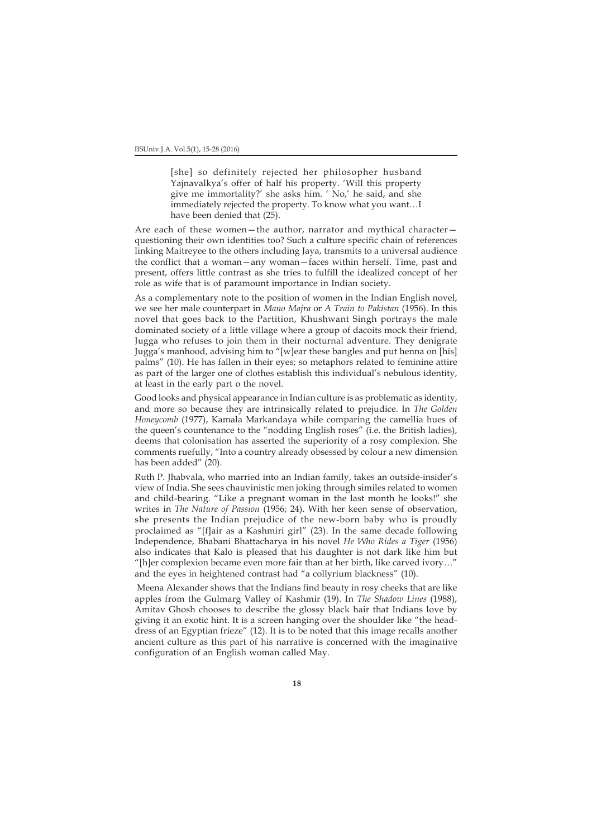[she] so definitely rejected her philosopher husband Yajnavalkya's offer of half his property. 'Will this property give me immortality?' she asks him. ' No,' he said, and she immediately rejected the property. To know what you want…I have been denied that (25).

Are each of these women—the author, narrator and mythical character questioning their own identities too? Such a culture specific chain of references linking Maitreyee to the others including Jaya, transmits to a universal audience the conflict that a woman—any woman—faces within herself. Time, past and present, offers little contrast as she tries to fulfill the idealized concept of her role as wife that is of paramount importance in Indian society.

As a complementary note to the position of women in the Indian English novel, we see her male counterpart in *Mano Majra* or *A Train to Pakistan* (1956). In this novel that goes back to the Partition, Khushwant Singh portrays the male dominated society of a little village where a group of dacoits mock their friend, Jugga who refuses to join them in their nocturnal adventure. They denigrate Jugga's manhood, advising him to "[w]ear these bangles and put henna on [his] palms" (10). He has fallen in their eyes; so metaphors related to feminine attire as part of the larger one of clothes establish this individual's nebulous identity, at least in the early part o the novel.

Good looks and physical appearance in Indian culture is as problematic as identity, and more so because they are intrinsically related to prejudice. In *The Golden Honeycomb* (1977), Kamala Markandaya while comparing the camellia hues of the queen's countenance to the "nodding English roses" (i.e. the British ladies), deems that colonisation has asserted the superiority of a rosy complexion. She comments ruefully, "Into a country already obsessed by colour a new dimension has been added" (20).

Ruth P. Jhabvala, who married into an Indian family, takes an outside-insider's view of India. She sees chauvinistic men joking through similes related to women and child-bearing. "Like a pregnant woman in the last month he looks!" she writes in *The Nature of Passion* (1956; 24). With her keen sense of observation, she presents the Indian prejudice of the new-born baby who is proudly proclaimed as "[f]air as a Kashmiri girl" (23). In the same decade following Independence, Bhabani Bhattacharya in his novel *He Who Rides a Tiger* (1956) also indicates that Kalo is pleased that his daughter is not dark like him but "[h]er complexion became even more fair than at her birth, like carved ivory…" and the eyes in heightened contrast had "a collyrium blackness" (10).

 Meena Alexander shows that the Indians find beauty in rosy cheeks that are like apples from the Gulmarg Valley of Kashmir (19). In *The Shadow Lines* (1988), Amitav Ghosh chooses to describe the glossy black hair that Indians love by giving it an exotic hint. It is a screen hanging over the shoulder like "the headdress of an Egyptian frieze" (12). It is to be noted that this image recalls another ancient culture as this part of his narrative is concerned with the imaginative configuration of an English woman called May.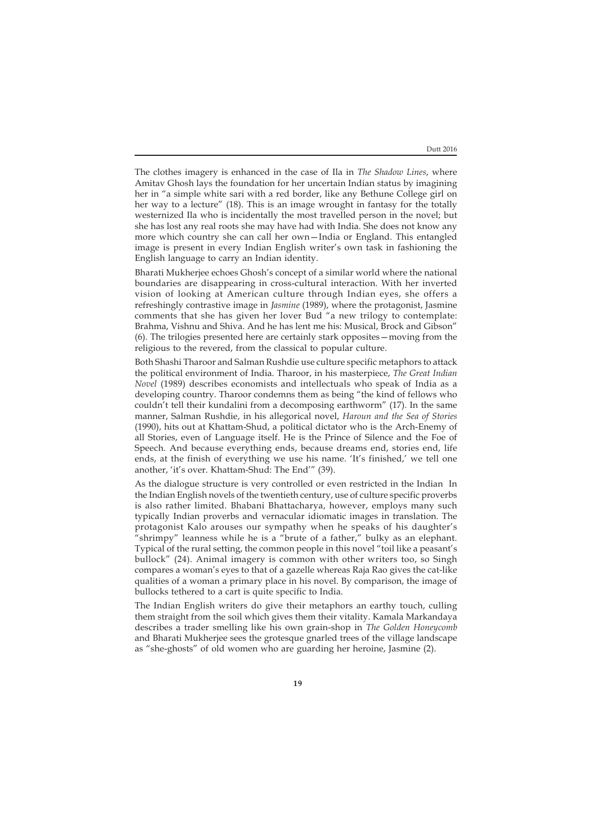Dutt 2016

The clothes imagery is enhanced in the case of Ila in *The Shadow Lines*, where Amitav Ghosh lays the foundation for her uncertain Indian status by imagining her in "a simple white sari with a red border, like any Bethune College girl on her way to a lecture" (18). This is an image wrought in fantasy for the totally westernized Ila who is incidentally the most travelled person in the novel; but she has lost any real roots she may have had with India. She does not know any more which country she can call her own—India or England. This entangled image is present in every Indian English writer's own task in fashioning the English language to carry an Indian identity.

Bharati Mukherjee echoes Ghosh's concept of a similar world where the national boundaries are disappearing in cross-cultural interaction. With her inverted vision of looking at American culture through Indian eyes, she offers a refreshingly contrastive image in *Jasmine* (1989), where the protagonist, Jasmine comments that she has given her lover Bud "a new trilogy to contemplate: Brahma, Vishnu and Shiva. And he has lent me his: Musical, Brock and Gibson" (6). The trilogies presented here are certainly stark opposites—moving from the religious to the revered, from the classical to popular culture.

Both Shashi Tharoor and Salman Rushdie use culture specific metaphors to attack the political environment of India. Tharoor, in his masterpiece, *The Great Indian Novel* (1989) describes economists and intellectuals who speak of India as a developing country. Tharoor condemns them as being "the kind of fellows who couldn't tell their kundalini from a decomposing earthworm" (17). In the same manner, Salman Rushdie, in his allegorical novel, *Haroun and the Sea of Stories* (1990), hits out at Khattam-Shud, a political dictator who is the Arch-Enemy of all Stories, even of Language itself. He is the Prince of Silence and the Foe of Speech. And because everything ends, because dreams end, stories end, life ends, at the finish of everything we use his name. 'It's finished,' we tell one another, 'it's over. Khattam-Shud: The End'" (39).

As the dialogue structure is very controlled or even restricted in the Indian In the Indian English novels of the twentieth century, use of culture specific proverbs is also rather limited. Bhabani Bhattacharya, however, employs many such typically Indian proverbs and vernacular idiomatic images in translation*.* The protagonist Kalo arouses our sympathy when he speaks of his daughter's "shrimpy" leanness while he is a "brute of a father," bulky as an elephant. Typical of the rural setting, the common people in this novel "toil like a peasant's bullock" (24). Animal imagery is common with other writers too, so Singh compares a woman's eyes to that of a gazelle whereas Raja Rao gives the cat-like qualities of a woman a primary place in his novel. By comparison, the image of bullocks tethered to a cart is quite specific to India.

The Indian English writers do give their metaphors an earthy touch, culling them straight from the soil which gives them their vitality. Kamala Markandaya describes a trader smelling like his own grain-shop in *The Golden Honeycomb* and Bharati Mukherjee sees the grotesque gnarled trees of the village landscape as "she-ghosts" of old women who are guarding her heroine, Jasmine (2).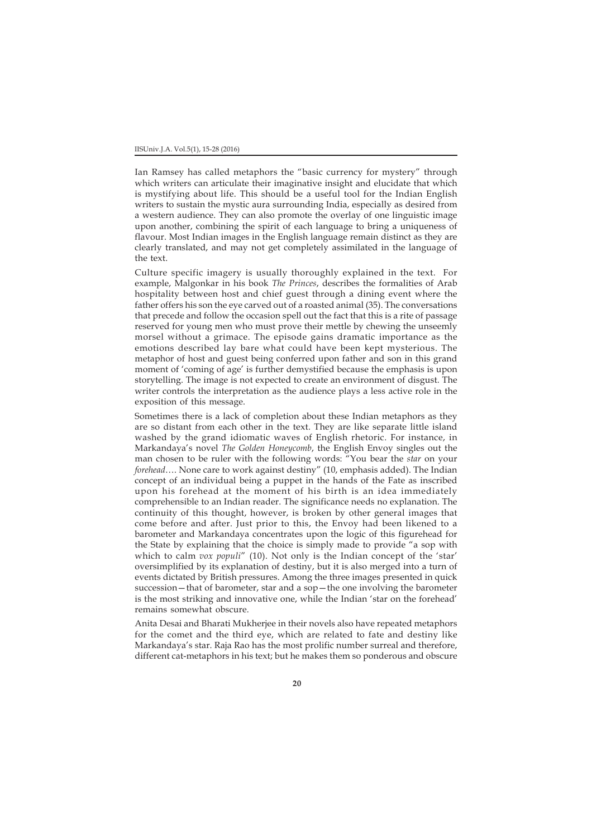Ian Ramsey has called metaphors the "basic currency for mystery" through which writers can articulate their imaginative insight and elucidate that which is mystifying about life. This should be a useful tool for the Indian English writers to sustain the mystic aura surrounding India, especially as desired from a western audience. They can also promote the overlay of one linguistic image upon another, combining the spirit of each language to bring a uniqueness of flavour. Most Indian images in the English language remain distinct as they are clearly translated, and may not get completely assimilated in the language of the text.

Culture specific imagery is usually thoroughly explained in the text. For example, Malgonkar in his book *The Princes*, describes the formalities of Arab hospitality between host and chief guest through a dining event where the father offers his son the eye carved out of a roasted animal (35). The conversations that precede and follow the occasion spell out the fact that this is a rite of passage reserved for young men who must prove their mettle by chewing the unseemly morsel without a grimace. The episode gains dramatic importance as the emotions described lay bare what could have been kept mysterious. The metaphor of host and guest being conferred upon father and son in this grand moment of 'coming of age' is further demystified because the emphasis is upon storytelling. The image is not expected to create an environment of disgust. The writer controls the interpretation as the audience plays a less active role in the exposition of this message.

Sometimes there is a lack of completion about these Indian metaphors as they are so distant from each other in the text. They are like separate little island washed by the grand idiomatic waves of English rhetoric. For instance, in Markandaya's novel *The Golden Honeycomb*, the English Envoy singles out the man chosen to be ruler with the following words: "You bear the *star* on your *forehead*…. None care to work against destiny" (10, emphasis added). The Indian concept of an individual being a puppet in the hands of the Fate as inscribed upon his forehead at the moment of his birth is an idea immediately comprehensible to an Indian reader. The significance needs no explanation. The continuity of this thought, however, is broken by other general images that come before and after. Just prior to this, the Envoy had been likened to a barometer and Markandaya concentrates upon the logic of this figurehead for the State by explaining that the choice is simply made to provide "a sop with which to calm *vox populi*" (10). Not only is the Indian concept of the 'star' oversimplified by its explanation of destiny, but it is also merged into a turn of events dictated by British pressures. Among the three images presented in quick succession—that of barometer, star and a sop—the one involving the barometer is the most striking and innovative one, while the Indian 'star on the forehead' remains somewhat obscure.

Anita Desai and Bharati Mukherjee in their novels also have repeated metaphors for the comet and the third eye, which are related to fate and destiny like Markandaya's star. Raja Rao has the most prolific number surreal and therefore, different cat-metaphors in his text; but he makes them so ponderous and obscure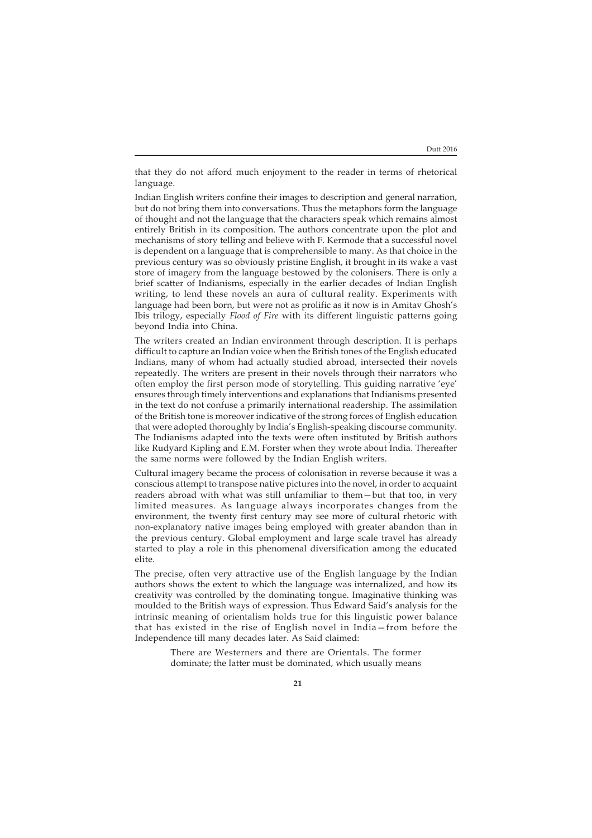that they do not afford much enjoyment to the reader in terms of rhetorical language.

Indian English writers confine their images to description and general narration, but do not bring them into conversations. Thus the metaphors form the language of thought and not the language that the characters speak which remains almost entirely British in its composition. The authors concentrate upon the plot and mechanisms of story telling and believe with F. Kermode that a successful novel is dependent on a language that is comprehensible to many. As that choice in the previous century was so obviously pristine English, it brought in its wake a vast store of imagery from the language bestowed by the colonisers. There is only a brief scatter of Indianisms, especially in the earlier decades of Indian English writing, to lend these novels an aura of cultural reality. Experiments with language had been born, but were not as prolific as it now is in Amitav Ghosh's Ibis trilogy, especially *Flood of Fire* with its different linguistic patterns going beyond India into China.

The writers created an Indian environment through description. It is perhaps difficult to capture an Indian voice when the British tones of the English educated Indians, many of whom had actually studied abroad, intersected their novels repeatedly. The writers are present in their novels through their narrators who often employ the first person mode of storytelling. This guiding narrative 'eye' ensures through timely interventions and explanations that Indianisms presented in the text do not confuse a primarily international readership. The assimilation of the British tone is moreover indicative of the strong forces of English education that were adopted thoroughly by India's English-speaking discourse community. The Indianisms adapted into the texts were often instituted by British authors like Rudyard Kipling and E.M. Forster when they wrote about India. Thereafter the same norms were followed by the Indian English writers.

Cultural imagery became the process of colonisation in reverse because it was a conscious attempt to transpose native pictures into the novel, in order to acquaint readers abroad with what was still unfamiliar to them—but that too, in very limited measures. As language always incorporates changes from the environment, the twenty first century may see more of cultural rhetoric with non-explanatory native images being employed with greater abandon than in the previous century. Global employment and large scale travel has already started to play a role in this phenomenal diversification among the educated elite.

The precise, often very attractive use of the English language by the Indian authors shows the extent to which the language was internalized, and how its creativity was controlled by the dominating tongue. Imaginative thinking was moulded to the British ways of expression. Thus Edward Said's analysis for the intrinsic meaning of orientalism holds true for this linguistic power balance that has existed in the rise of English novel in India—from before the Independence till many decades later. As Said claimed:

> There are Westerners and there are Orientals. The former dominate; the latter must be dominated, which usually means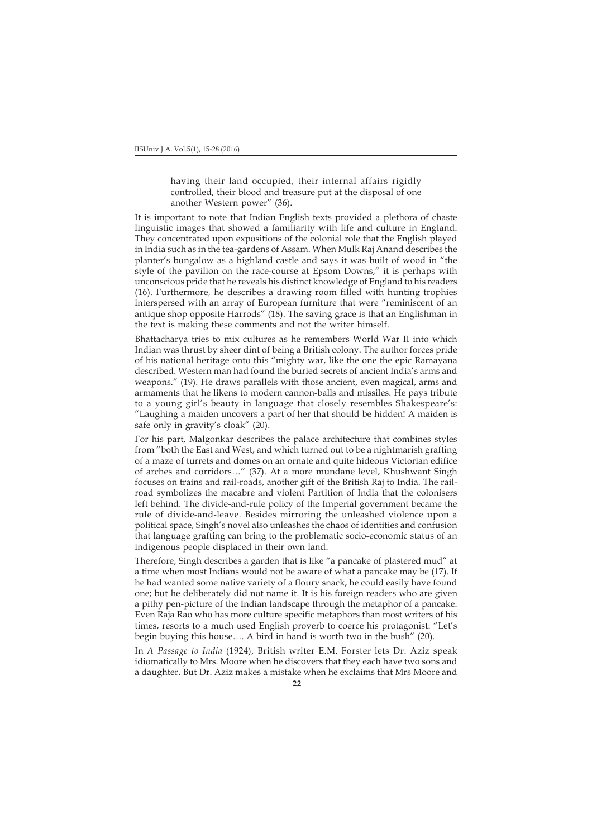having their land occupied, their internal affairs rigidly controlled, their blood and treasure put at the disposal of one another Western power" (36).

It is important to note that Indian English texts provided a plethora of chaste linguistic images that showed a familiarity with life and culture in England. They concentrated upon expositions of the colonial role that the English played in India such as in the tea-gardens of Assam. When Mulk Raj Anand describes the planter's bungalow as a highland castle and says it was built of wood in "the style of the pavilion on the race-course at Epsom Downs," it is perhaps with unconscious pride that he reveals his distinct knowledge of England to his readers (16). Furthermore, he describes a drawing room filled with hunting trophies interspersed with an array of European furniture that were "reminiscent of an antique shop opposite Harrods" (18). The saving grace is that an Englishman in the text is making these comments and not the writer himself.

Bhattacharya tries to mix cultures as he remembers World War II into which Indian was thrust by sheer dint of being a British colony. The author forces pride of his national heritage onto this "mighty war, like the one the epic Ramayana described. Western man had found the buried secrets of ancient India's arms and weapons." (19). He draws parallels with those ancient, even magical, arms and armaments that he likens to modern cannon-balls and missiles. He pays tribute to a young girl's beauty in language that closely resembles Shakespeare's: "Laughing a maiden uncovers a part of her that should be hidden! A maiden is safe only in gravity's cloak" (20).

For his part, Malgonkar describes the palace architecture that combines styles from "both the East and West, and which turned out to be a nightmarish grafting of a maze of turrets and domes on an ornate and quite hideous Victorian edifice of arches and corridors…" (37). At a more mundane level, Khushwant Singh focuses on trains and rail-roads, another gift of the British Raj to India. The railroad symbolizes the macabre and violent Partition of India that the colonisers left behind. The divide-and-rule policy of the Imperial government became the rule of divide-and-leave. Besides mirroring the unleashed violence upon a political space, Singh's novel also unleashes the chaos of identities and confusion that language grafting can bring to the problematic socio-economic status of an indigenous people displaced in their own land.

Therefore, Singh describes a garden that is like "a pancake of plastered mud" at a time when most Indians would not be aware of what a pancake may be (17). If he had wanted some native variety of a floury snack, he could easily have found one; but he deliberately did not name it. It is his foreign readers who are given a pithy pen-picture of the Indian landscape through the metaphor of a pancake. Even Raja Rao who has more culture specific metaphors than most writers of his times, resorts to a much used English proverb to coerce his protagonist: "Let's begin buying this house…. A bird in hand is worth two in the bush" (20).

In *A Passage to India* (1924), British writer E.M. Forster lets Dr. Aziz speak idiomatically to Mrs. Moore when he discovers that they each have two sons and a daughter. But Dr. Aziz makes a mistake when he exclaims that Mrs Moore and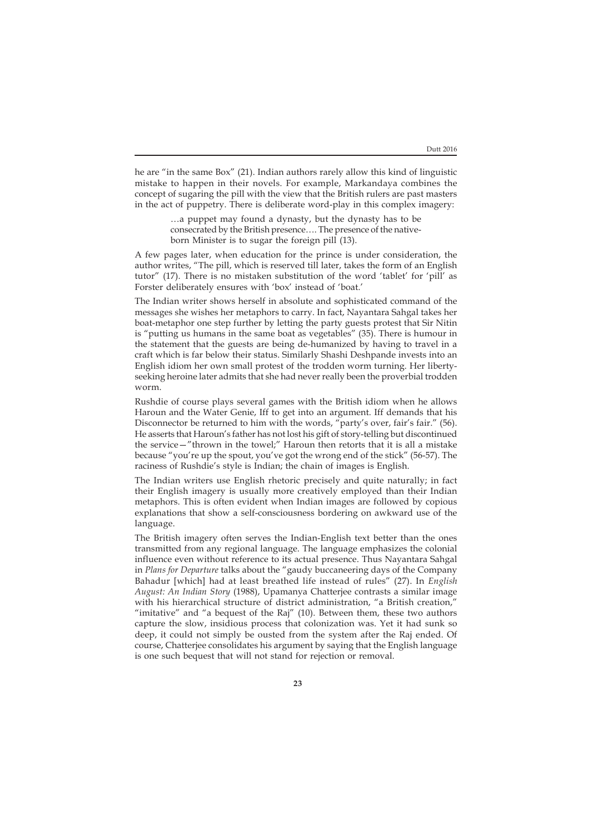he are "in the same Box" (21). Indian authors rarely allow this kind of linguistic mistake to happen in their novels. For example, Markandaya combines the concept of sugaring the pill with the view that the British rulers are past masters in the act of puppetry. There is deliberate word-play in this complex imagery:

> …a puppet may found a dynasty, but the dynasty has to be consecrated by the British presence…. The presence of the nativeborn Minister is to sugar the foreign pill (13).

A few pages later, when education for the prince is under consideration, the author writes, "The pill, which is reserved till later, takes the form of an English tutor" (17). There is no mistaken substitution of the word 'tablet' for 'pill' as Forster deliberately ensures with 'box' instead of 'boat.'

The Indian writer shows herself in absolute and sophisticated command of the messages she wishes her metaphors to carry. In fact, Nayantara Sahgal takes her boat-metaphor one step further by letting the party guests protest that Sir Nitin is "putting us humans in the same boat as vegetables" (35). There is humour in the statement that the guests are being de-humanized by having to travel in a craft which is far below their status. Similarly Shashi Deshpande invests into an English idiom her own small protest of the trodden worm turning. Her libertyseeking heroine later admits that she had never really been the proverbial trodden worm.

Rushdie of course plays several games with the British idiom when he allows Haroun and the Water Genie, Iff to get into an argument. Iff demands that his Disconnector be returned to him with the words, "party's over, fair's fair." (56). He asserts that Haroun's father has not lost his gift of story-telling but discontinued the service—"thrown in the towel;" Haroun then retorts that it is all a mistake because "you're up the spout, you've got the wrong end of the stick" (56-57). The raciness of Rushdie's style is Indian; the chain of images is English.

The Indian writers use English rhetoric precisely and quite naturally; in fact their English imagery is usually more creatively employed than their Indian metaphors. This is often evident when Indian images are followed by copious explanations that show a self-consciousness bordering on awkward use of the language.

The British imagery often serves the Indian-English text better than the ones transmitted from any regional language. The language emphasizes the colonial influence even without reference to its actual presence. Thus Nayantara Sahgal in *Plans for Departure* talks about the "gaudy buccaneering days of the Company Bahadur [which] had at least breathed life instead of rules" (27). In *English August: An Indian Story* (1988), Upamanya Chatterjee contrasts a similar image with his hierarchical structure of district administration, "a British creation," "imitative" and "a bequest of the Raj" (10). Between them, these two authors capture the slow, insidious process that colonization was. Yet it had sunk so deep, it could not simply be ousted from the system after the Raj ended. Of course, Chatterjee consolidates his argument by saying that the English language is one such bequest that will not stand for rejection or removal.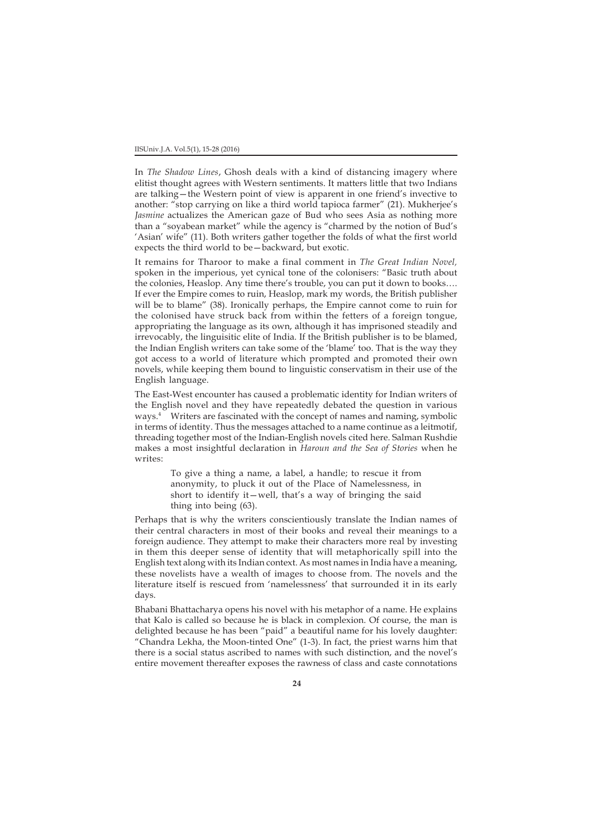In *The Shadow Lines*, Ghosh deals with a kind of distancing imagery where elitist thought agrees with Western sentiments. It matters little that two Indians are talking—the Western point of view is apparent in one friend's invective to another: "stop carrying on like a third world tapioca farmer" (21). Mukherjee's *Jasmine* actualizes the American gaze of Bud who sees Asia as nothing more than a "soyabean market" while the agency is "charmed by the notion of Bud's 'Asian' wife" (11). Both writers gather together the folds of what the first world expects the third world to be—backward, but exotic.

It remains for Tharoor to make a final comment in *The Great Indian Novel,* spoken in the imperious, yet cynical tone of the colonisers: "Basic truth about the colonies, Heaslop. Any time there's trouble, you can put it down to books…. If ever the Empire comes to ruin, Heaslop, mark my words, the British publisher will be to blame" (38). Ironically perhaps, the Empire cannot come to ruin for the colonised have struck back from within the fetters of a foreign tongue, appropriating the language as its own, although it has imprisoned steadily and irrevocably, the linguisitic elite of India. If the British publisher is to be blamed, the Indian English writers can take some of the 'blame' too. That is the way they got access to a world of literature which prompted and promoted their own novels, while keeping them bound to linguistic conservatism in their use of the English language.

The East-West encounter has caused a problematic identity for Indian writers of the English novel and they have repeatedly debated the question in various ways.4 Writers are fascinated with the concept of names and naming, symbolic in terms of identity. Thus the messages attached to a name continue as a leitmotif, threading together most of the Indian-English novels cited here. Salman Rushdie makes a most insightful declaration in *Haroun and the Sea of Stories* when he writes:

> To give a thing a name, a label, a handle; to rescue it from anonymity, to pluck it out of the Place of Namelessness, in short to identify it—well, that's a way of bringing the said thing into being (63).

Perhaps that is why the writers conscientiously translate the Indian names of their central characters in most of their books and reveal their meanings to a foreign audience. They attempt to make their characters more real by investing in them this deeper sense of identity that will metaphorically spill into the English text along with its Indian context. As most names in India have a meaning, these novelists have a wealth of images to choose from. The novels and the literature itself is rescued from 'namelessness' that surrounded it in its early days.

Bhabani Bhattacharya opens his novel with his metaphor of a name. He explains that Kalo is called so because he is black in complexion. Of course, the man is delighted because he has been "paid" a beautiful name for his lovely daughter: "Chandra Lekha, the Moon-tinted One" (1-3). In fact, the priest warns him that there is a social status ascribed to names with such distinction, and the novel's entire movement thereafter exposes the rawness of class and caste connotations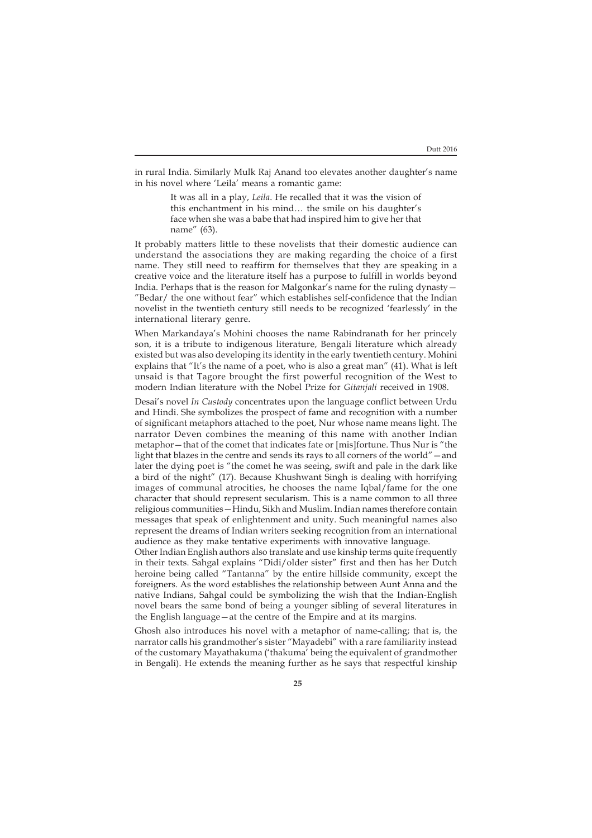in rural India. Similarly Mulk Raj Anand too elevates another daughter's name in his novel where 'Leila' means a romantic game:

> It was all in a play, *Leila*. He recalled that it was the vision of this enchantment in his mind… the smile on his daughter's face when she was a babe that had inspired him to give her that name" (63).

It probably matters little to these novelists that their domestic audience can understand the associations they are making regarding the choice of a first name. They still need to reaffirm for themselves that they are speaking in a creative voice and the literature itself has a purpose to fulfill in worlds beyond India. Perhaps that is the reason for Malgonkar's name for the ruling dynasty— "Bedar/ the one without fear" which establishes self-confidence that the Indian novelist in the twentieth century still needs to be recognized 'fearlessly' in the international literary genre.

When Markandaya's Mohini chooses the name Rabindranath for her princely son, it is a tribute to indigenous literature, Bengali literature which already existed but was also developing its identity in the early twentieth century. Mohini explains that "It's the name of a poet, who is also a great man" (41). What is left unsaid is that Tagore brought the first powerful recognition of the West to modern Indian literature with the Nobel Prize for *Gitanjali* received in 1908.

Desai's novel *In Custody* concentrates upon the language conflict between Urdu and Hindi. She symbolizes the prospect of fame and recognition with a number of significant metaphors attached to the poet, Nur whose name means light. The narrator Deven combines the meaning of this name with another Indian metaphor—that of the comet that indicates fate or [mis]fortune. Thus Nur is "the light that blazes in the centre and sends its rays to all corners of the world"—and later the dying poet is "the comet he was seeing, swift and pale in the dark like a bird of the night" (17). Because Khushwant Singh is dealing with horrifying images of communal atrocities, he chooses the name Iqbal/fame for the one character that should represent secularism. This is a name common to all three religious communities—Hindu, Sikh and Muslim. Indian names therefore contain messages that speak of enlightenment and unity. Such meaningful names also represent the dreams of Indian writers seeking recognition from an international audience as they make tentative experiments with innovative language.

Other Indian English authors also translate and use kinship terms quite frequently in their texts. Sahgal explains "Didi/older sister" first and then has her Dutch heroine being called "Tantanna" by the entire hillside community, except the foreigners. As the word establishes the relationship between Aunt Anna and the native Indians, Sahgal could be symbolizing the wish that the Indian-English novel bears the same bond of being a younger sibling of several literatures in the English language—at the centre of the Empire and at its margins.

Ghosh also introduces his novel with a metaphor of name-calling; that is, the narrator calls his grandmother's sister "Mayadebi" with a rare familiarity instead of the customary Mayathakuma ('thakuma' being the equivalent of grandmother in Bengali). He extends the meaning further as he says that respectful kinship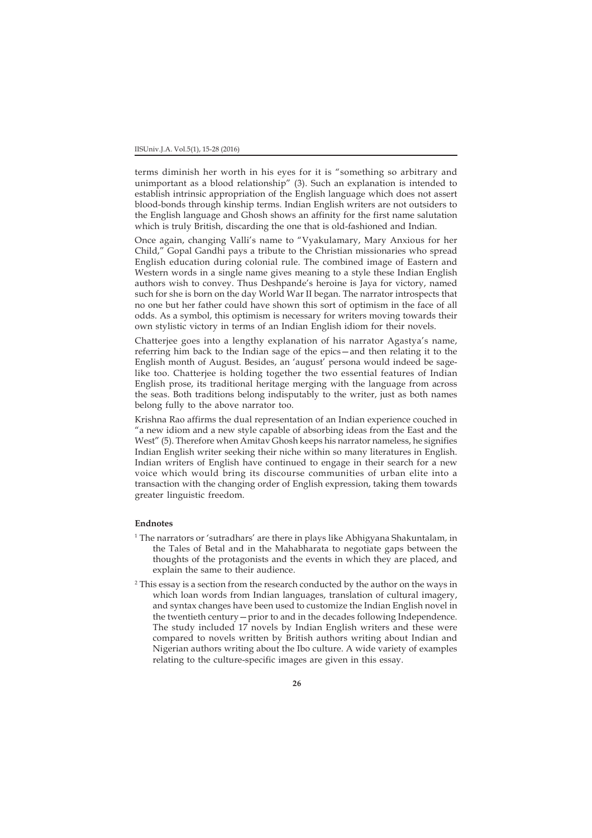terms diminish her worth in his eyes for it is "something so arbitrary and unimportant as a blood relationship" (3). Such an explanation is intended to establish intrinsic appropriation of the English language which does not assert blood-bonds through kinship terms. Indian English writers are not outsiders to the English language and Ghosh shows an affinity for the first name salutation which is truly British, discarding the one that is old-fashioned and Indian.

Once again, changing Valli's name to "Vyakulamary, Mary Anxious for her Child," Gopal Gandhi pays a tribute to the Christian missionaries who spread English education during colonial rule. The combined image of Eastern and Western words in a single name gives meaning to a style these Indian English authors wish to convey. Thus Deshpande's heroine is Jaya for victory, named such for she is born on the day World War II began. The narrator introspects that no one but her father could have shown this sort of optimism in the face of all odds. As a symbol, this optimism is necessary for writers moving towards their own stylistic victory in terms of an Indian English idiom for their novels.

Chatterjee goes into a lengthy explanation of his narrator Agastya's name, referring him back to the Indian sage of the epics—and then relating it to the English month of August. Besides, an 'august' persona would indeed be sagelike too. Chatterjee is holding together the two essential features of Indian English prose, its traditional heritage merging with the language from across the seas. Both traditions belong indisputably to the writer, just as both names belong fully to the above narrator too.

Krishna Rao affirms the dual representation of an Indian experience couched in "a new idiom and a new style capable of absorbing ideas from the East and the West" (5). Therefore when Amitav Ghosh keeps his narrator nameless, he signifies Indian English writer seeking their niche within so many literatures in English. Indian writers of English have continued to engage in their search for a new voice which would bring its discourse communities of urban elite into a transaction with the changing order of English expression, taking them towards greater linguistic freedom.

## **Endnotes**

- 1 The narrators or 'sutradhars' are there in plays like Abhigyana Shakuntalam, in the Tales of Betal and in the Mahabharata to negotiate gaps between the thoughts of the protagonists and the events in which they are placed, and explain the same to their audience.
- 2 This essay is a section from the research conducted by the author on the ways in which loan words from Indian languages, translation of cultural imagery, and syntax changes have been used to customize the Indian English novel in the twentieth century—prior to and in the decades following Independence. The study included 17 novels by Indian English writers and these were compared to novels written by British authors writing about Indian and Nigerian authors writing about the Ibo culture. A wide variety of examples relating to the culture-specific images are given in this essay.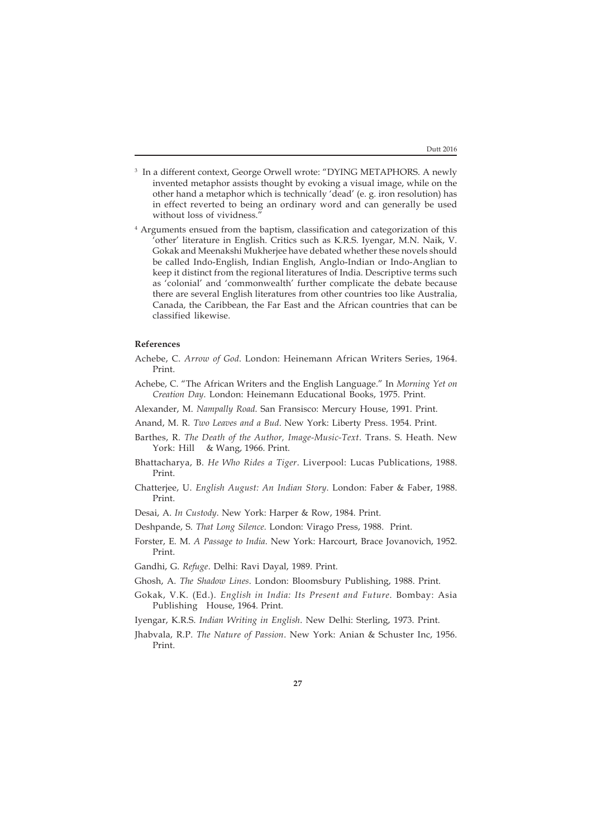- 3 In a different context, George Orwell wrote: "DYING METAPHORS. A newly invented metaphor assists thought by evoking a visual image, while on the other hand a metaphor which is technically 'dead' (e. g. iron resolution) has in effect reverted to being an ordinary word and can generally be used without loss of vividness."
- 4 Arguments ensued from the baptism, classification and categorization of this 'other' literature in English. Critics such as K.R.S. Iyengar, M.N. Naik, V. Gokak and Meenakshi Mukherjee have debated whether these novels should be called Indo-English, Indian English, Anglo-Indian or Indo-Anglian to keep it distinct from the regional literatures of India. Descriptive terms such as 'colonial' and 'commonwealth' further complicate the debate because there are several English literatures from other countries too like Australia, Canada, the Caribbean, the Far East and the African countries that can be classified likewise.

## **References**

- Achebe, C. *Arrow of God*. London: Heinemann African Writers Series, 1964. Print.
- Achebe, C. "The African Writers and the English Language." In *Morning Yet on Creation Day*. London: Heinemann Educational Books, 1975. Print.
- Alexander, M. *Nampally Road*. San Fransisco: Mercury House, 1991. Print.
- Anand, M. R. *Two Leaves and a Bud*. New York: Liberty Press. 1954. Print.
- Barthes, R. *The Death of the Author, Image-Music-Text*. Trans. S. Heath. New York: Hill & Wang, 1966. Print.
- Bhattacharya, B. *He Who Rides a Tiger*. Liverpool: Lucas Publications, 1988. Print.
- Chatterjee, U. *English August: An Indian Story*. London: Faber & Faber, 1988. Print.
- Desai, A. *In Custody*. New York: Harper & Row, 1984. Print.
- Deshpande, S. *That Long Silence*. London: Virago Press, 1988. Print.
- Forster, E. M. *A Passage to India*. New York: Harcourt, Brace Jovanovich, 1952. Print.
- Gandhi, G. *Refuge*. Delhi: Ravi Dayal, 1989. Print.
- Ghosh, A. *The Shadow Lines*. London: Bloomsbury Publishing, 1988. Print.
- Gokak, V.K. (Ed.). *English in India: Its Present and Future*. Bombay: Asia Publishing House, 1964. Print.
- Iyengar, K.R.S. *Indian Writing in English*. New Delhi: Sterling, 1973. Print.
- Jhabvala, R.P. *The Nature of Passion*. New York: Anian & Schuster Inc, 1956. Print.